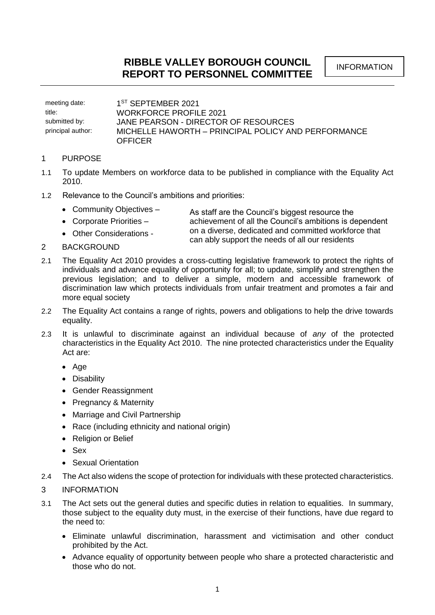meeting date: 1<sup>ST</sup> SEPTEMBER 2021 title: WORKFORCE PROFILE 2021 submitted by: **JANE PEARSON - DIRECTOR OF RESOURCES** principal author: MICHELLE HAWORTH – PRINCIPAL POLICY AND PERFORMANCE **OFFICER** 

## 1 PURPOSE

- 1.1 To update Members on workforce data to be published in compliance with the Equality Act 2010.
- 1.2 Relevance to the Council's ambitions and priorities:
	- Community Objectives As staff are the Council's biggest resource the
	- Corporate Priorities achievement of all the Council's ambitions is dependent
	- Other Considerations on a diverse, dedicated and committed workforce that can ably support the needs of all our residents
- 2 BACKGROUND
- 2.1 The Equality Act 2010 provides a cross-cutting legislative framework to protect the rights of individuals and advance equality of opportunity for all; to update, simplify and strengthen the previous legislation; and to deliver a simple, modern and accessible framework of discrimination law which protects individuals from unfair treatment and promotes a fair and more equal society
- 2.2 The Equality Act contains a range of rights, powers and obligations to help the drive towards equality.
- 2.3 It is unlawful to discriminate against an individual because of *any* of the protected characteristics in the Equality Act 2010. The nine protected characteristics under the Equality Act are:
	- Age
	- Disability
	- Gender Reassignment
	- Pregnancy & Maternity
	- Marriage and Civil Partnership
	- Race (including ethnicity and national origin)
	- Religion or Belief
	- Sex
	- Sexual Orientation
- 2.4 The Act also widens the scope of protection for individuals with these protected characteristics.
- 3 INFORMATION
- 3.1 The Act sets out the general duties and specific duties in relation to equalities. In summary, those subject to the equality duty must, in the exercise of their functions, have due regard to the need to:
	- Eliminate unlawful discrimination, harassment and victimisation and other conduct prohibited by the Act.
	- Advance equality of opportunity between people who share a protected characteristic and those who do not.